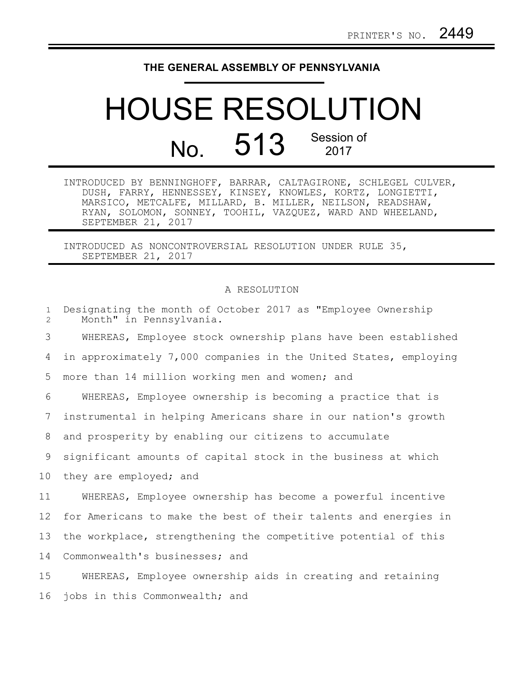## **THE GENERAL ASSEMBLY OF PENNSYLVANIA**

## HOUSE RESOLUTION No. 513 Session of

INTRODUCED BY BENNINGHOFF, BARRAR, CALTAGIRONE, SCHLEGEL CULVER, DUSH, FARRY, HENNESSEY, KINSEY, KNOWLES, KORTZ, LONGIETTI, MARSICO, METCALFE, MILLARD, B. MILLER, NEILSON, READSHAW, RYAN, SOLOMON, SONNEY, TOOHIL, VAZQUEZ, WARD AND WHEELAND, SEPTEMBER 21, 2017

INTRODUCED AS NONCONTROVERSIAL RESOLUTION UNDER RULE 35, SEPTEMBER 21, 2017

## A RESOLUTION

| $\mathbf{1}$<br>$\overline{2}$ | Designating the month of October 2017 as "Employee Ownership<br>Month" in Pennsylvania. |
|--------------------------------|-----------------------------------------------------------------------------------------|
| 3                              | WHEREAS, Employee stock ownership plans have been established                           |
| 4                              | in approximately 7,000 companies in the United States, employing                        |
| 5                              | more than 14 million working men and women; and                                         |
| 6                              | WHEREAS, Employee ownership is becoming a practice that is                              |
| 7                              | instrumental in helping Americans share in our nation's growth                          |
| 8                              | and prosperity by enabling our citizens to accumulate                                   |
| 9                              | significant amounts of capital stock in the business at which                           |
| 10                             | they are employed; and                                                                  |
| 11                             | WHEREAS, Employee ownership has become a powerful incentive                             |
| 12                             | for Americans to make the best of their talents and energies in                         |
| 13                             | the workplace, strengthening the competitive potential of this                          |
| 14                             | Commonwealth's businesses; and                                                          |
| 15                             | WHEREAS, Employee ownership aids in creating and retaining                              |
| 16                             | jobs in this Commonwealth; and                                                          |